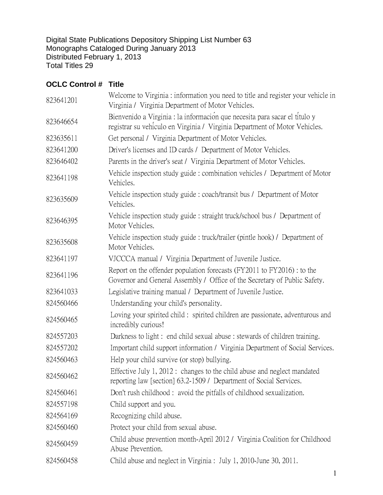Digital State Publications Depository Shipping List Number 63 Monographs Cataloged During January 2013 Distributed February 1, 2013 Total Titles 29

## **OCLC Control # Title**

| 823641201 | Welcome to Virginia: information you need to title and register your vehicle in<br>Virginia / Virginia Department of Motor Vehicles.                     |
|-----------|----------------------------------------------------------------------------------------------------------------------------------------------------------|
| 823646654 | Bienvenido a Virginia : la información que necesita para sacar el título y<br>registrar su vehiculo en Virginia / Virginia Department of Motor Vehicles. |
| 823635611 | Get personal / Virginia Department of Motor Vehicles.                                                                                                    |
| 823641200 | Driver's licenses and ID cards / Department of Motor Vehicles.                                                                                           |
| 823646402 | Parents in the driver's seat / Virginia Department of Motor Vehicles.                                                                                    |
| 823641198 | Vehicle inspection study guide : combination vehicles / Department of Motor<br>Vehicles.                                                                 |
| 823635609 | Vehicle inspection study guide : coach/transit bus / Department of Motor<br>Vehicles.                                                                    |
| 823646395 | Vehicle inspection study guide : straight truck/school bus / Department of<br>Motor Vehicles.                                                            |
| 823635608 | Vehicle inspection study guide : truck/trailer (pintle hook) / Department of<br>Motor Vehicles.                                                          |
| 823641197 | VJCCCA manual / Virginia Department of Juvenile Justice.                                                                                                 |
| 823641196 | Report on the offender population forecasts (FY2011 to FY2016) : to the<br>Governor and General Assembly / Office of the Secretary of Public Safety.     |
| 823641033 | Legislative training manual / Department of Juvenile Justice.                                                                                            |
| 824560466 | Understanding your child's personality.                                                                                                                  |
| 824560465 | Loving your spirited child: spirited children are passionate, adventurous and<br>incredibly curious!                                                     |
| 824557203 | Darkness to light : end child sexual abuse : stewards of children training.                                                                              |
| 824557202 | Important child support information / Virginia Department of Social Services.                                                                            |
| 824560463 | Help your child survive (or stop) bullying.                                                                                                              |
| 824560462 | Effective July 1, 2012 : changes to the child abuse and neglect mandated<br>reporting law [section] 63.2-1509 / Department of Social Services.           |
| 824560461 | Don't rush childhood: avoid the pitfalls of childhood sexualization.                                                                                     |
| 824557198 | Child support and you.                                                                                                                                   |
| 824564169 | Recognizing child abuse.                                                                                                                                 |
| 824560460 | Protect your child from sexual abuse.                                                                                                                    |
| 824560459 | Child abuse prevention month-April 2012 / Virginia Coalition for Childhood<br>Abuse Prevention.                                                          |
| 824560458 | Child abuse and neglect in Virginia : July 1, 2010-June 30, 2011.                                                                                        |